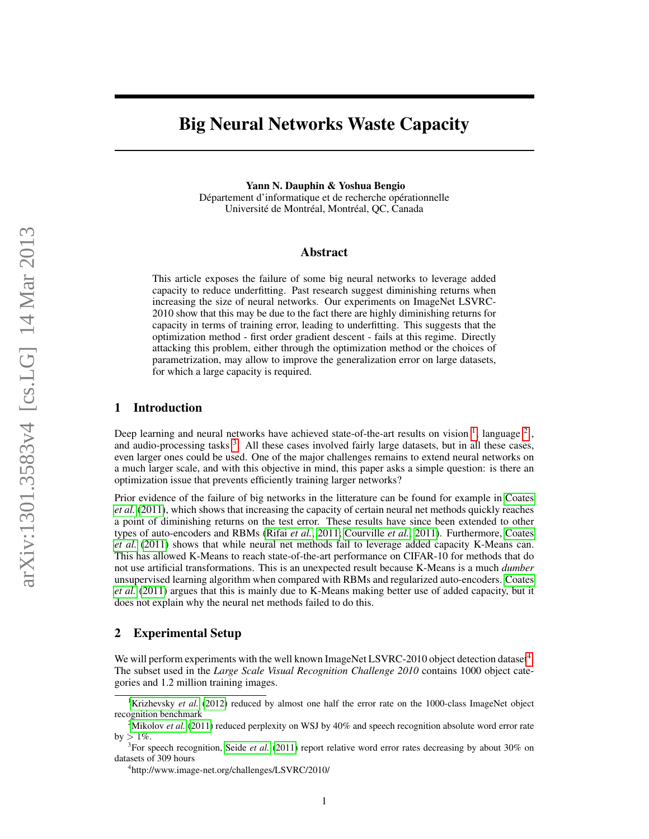# Big Neural Networks Waste Capacity

Yann N. Dauphin & Yoshua Bengio Département d'informatique et de recherche opérationnelle Université de Montréal, Montréal, QC, Canada

#### Abstract

This article exposes the failure of some big neural networks to leverage added capacity to reduce underfitting. Past research suggest diminishing returns when increasing the size of neural networks. Our experiments on ImageNet LSVRC-2010 show that this may be due to the fact there are highly diminishing returns for capacity in terms of training error, leading to underfitting. This suggests that the optimization method - first order gradient descent - fails at this regime. Directly attacking this problem, either through the optimization method or the choices of parametrization, may allow to improve the generalization error on large datasets, for which a large capacity is required.

#### 1 Introduction

Deep learning and neural networks have achieved state-of-the-art results on vision  $\frac{1}{2}$  $\frac{1}{2}$  $\frac{1}{2}$  $\frac{1}{2}$  $\frac{1}{2}$ , language  $\frac{2}{3}$ , and audio-processing tasks<sup>[3](#page-0-2)</sup>. All these cases involved fairly large datasets, but in all these cases, even larger ones could be used. One of the major challenges remains to extend neural networks on a much larger scale, and with this objective in mind, this paper asks a simple question: is there an optimization issue that prevents efficiently training larger networks?

Prior evidence of the failure of big networks in the litterature can be found for example in [Coates](#page-3-0) *[et al.](#page-3-0)* [\(2011\)](#page-3-0), which shows that increasing the capacity of certain neural net methods quickly reaches a point of diminishing returns on the test error. These results have since been extended to other types of auto-encoders and RBMs [\(Rifai](#page-4-0) *et al.*, [2011;](#page-4-0) [Courville](#page-3-1) *et al.*, [2011\)](#page-3-1). Furthermore, [Coates](#page-3-0) *[et al.](#page-3-0)* [\(2011\)](#page-3-0) shows that while neural net methods fail to leverage added capacity K-Means can. This has allowed K-Means to reach state-of-the-art performance on CIFAR-10 for methods that do not use artificial transformations. This is an unexpected result because K-Means is a much *dumber* unsupervised learning algorithm when compared with RBMs and regularized auto-encoders. [Coates](#page-3-0) *[et al.](#page-3-0)* [\(2011\)](#page-3-0) argues that this is mainly due to K-Means making better use of added capacity, but it does not explain why the neural net methods failed to do this.

### 2 Experimental Setup

We will perform experiments with the well known ImageNet LSVRC-2010 object detection dataset<sup>[4](#page-0-3)</sup>. The subset used in the *Large Scale Visual Recognition Challenge 2010* contains 1000 object categories and 1.2 million training images.

<span id="page-0-0"></span><sup>&</sup>lt;sup>1</sup>[Krizhevsky](#page-4-1) *et al.* [\(2012\)](#page-4-1) reduced by almost one half the error rate on the 1000-class ImageNet object recognition benchmark

<span id="page-0-1"></span><sup>&</sup>lt;sup>2</sup>[Mikolov](#page-4-2) *et al.* [\(2011\)](#page-4-2) reduced perplexity on WSJ by 40% and speech recognition absolute word error rate by  $>1\%.$ 

<span id="page-0-2"></span><sup>&</sup>lt;sup>3</sup>For speech recognition, [Seide](#page-4-3) *et al.* [\(2011\)](#page-4-3) report relative word error rates decreasing by about 30% on datasets of 309 hours

<span id="page-0-3"></span><sup>4</sup> http://www.image-net.org/challenges/LSVRC/2010/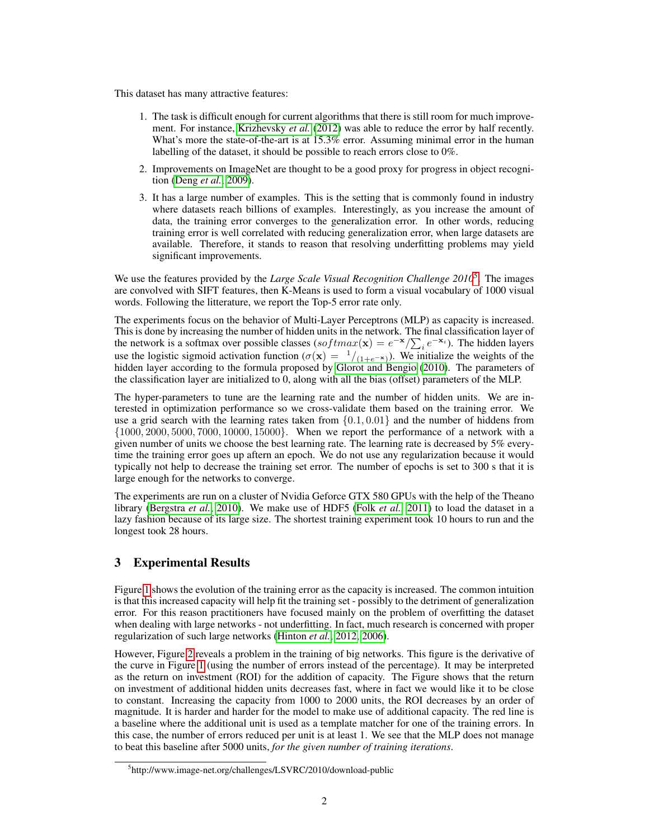This dataset has many attractive features:

- 1. The task is difficult enough for current algorithms that there is still room for much improvement. For instance, [Krizhevsky](#page-4-1) *et al.* [\(2012\)](#page-4-1) was able to reduce the error by half recently. What's more the state-of-the-art is at 15.3% error. Assuming minimal error in the human labelling of the dataset, it should be possible to reach errors close to 0%.
- 2. Improvements on ImageNet are thought to be a good proxy for progress in object recognition [\(Deng](#page-3-2) *et al.*, [2009\)](#page-3-2).
- 3. It has a large number of examples. This is the setting that is commonly found in industry where datasets reach billions of examples. Interestingly, as you increase the amount of data, the training error converges to the generalization error. In other words, reducing training error is well correlated with reducing generalization error, when large datasets are available. Therefore, it stands to reason that resolving underfitting problems may yield significant improvements.

We use the features provided by the *Large Scale Visual Recognition Challenge 2010*<sup>[5](#page-1-0)</sup>. The images are convolved with SIFT features, then K-Means is used to form a visual vocabulary of 1000 visual words. Following the litterature, we report the Top-5 error rate only.

The experiments focus on the behavior of Multi-Layer Perceptrons (MLP) as capacity is increased. This is done by increasing the number of hidden units in the network. The final classification layer of the network is a softmax over possible classes (softmax(x) =  $e^{-x}/\sum_i e^{-x_i}$ ). The hidden layers use the logistic sigmoid activation function ( $\sigma(\mathbf{x}) = \frac{1}{(1+e^{-\mathbf{x}})}$ ). We initialize the weights of the hidden layer according to the formula proposed by [Glorot and Bengio](#page-4-4) [\(2010\)](#page-4-4). The parameters of the classification layer are initialized to 0, along with all the bias (offset) parameters of the MLP.

The hyper-parameters to tune are the learning rate and the number of hidden units. We are interested in optimization performance so we cross-validate them based on the training error. We use a grid search with the learning rates taken from  $\{0.1, 0.01\}$  and the number of hiddens from {1000, 2000, 5000, 7000, 10000, 15000}. When we report the performance of a network with a given number of units we choose the best learning rate. The learning rate is decreased by 5% everytime the training error goes up aftern an epoch. We do not use any regularization because it would typically not help to decrease the training set error. The number of epochs is set to 300 s that it is large enough for the networks to converge.

The experiments are run on a cluster of Nvidia Geforce GTX 580 GPUs with the help of the Theano library [\(Bergstra](#page-3-3) *et al.*, [2010\)](#page-3-3). We make use of HDF5 (Folk *[et al.](#page-4-5)*, [2011\)](#page-4-5) to load the dataset in a lazy fashion because of its large size. The shortest training experiment took 10 hours to run and the longest took 28 hours.

# 3 Experimental Results

Figure [1](#page-2-0) shows the evolution of the training error as the capacity is increased. The common intuition is that this increased capacity will help fit the training set - possibly to the detriment of generalization error. For this reason practitioners have focused mainly on the problem of overfitting the dataset when dealing with large networks - not underfitting. In fact, much research is concerned with proper regularization of such large networks [\(Hinton](#page-4-6) *et al.*, [2012,](#page-4-6) [2006\)](#page-4-7).

However, Figure [2](#page-2-1) reveals a problem in the training of big networks. This figure is the derivative of the curve in Figure [1](#page-2-0) (using the number of errors instead of the percentage). It may be interpreted as the return on investment (ROI) for the addition of capacity. The Figure shows that the return on investment of additional hidden units decreases fast, where in fact we would like it to be close to constant. Increasing the capacity from 1000 to 2000 units, the ROI decreases by an order of magnitude. It is harder and harder for the model to make use of additional capacity. The red line is a baseline where the additional unit is used as a template matcher for one of the training errors. In this case, the number of errors reduced per unit is at least 1. We see that the MLP does not manage to beat this baseline after 5000 units, *for the given number of training iterations*.

<span id="page-1-0"></span><sup>5</sup> http://www.image-net.org/challenges/LSVRC/2010/download-public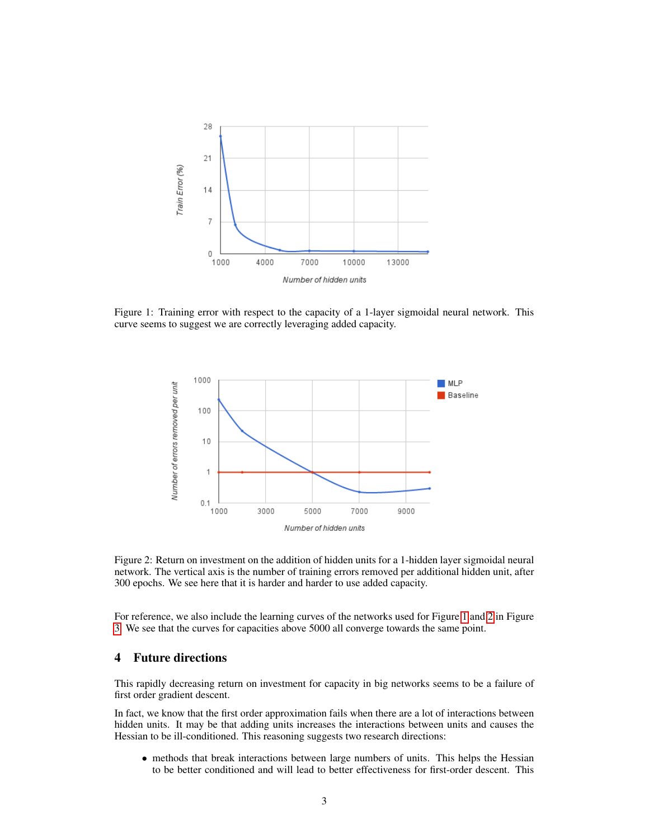

<span id="page-2-0"></span>Figure 1: Training error with respect to the capacity of a 1-layer sigmoidal neural network. This curve seems to suggest we are correctly leveraging added capacity.



<span id="page-2-1"></span>Figure 2: Return on investment on the addition of hidden units for a 1-hidden layer sigmoidal neural network. The vertical axis is the number of training errors removed per additional hidden unit, after 300 epochs. We see here that it is harder and harder to use added capacity.

For reference, we also include the learning curves of the networks used for Figure [1](#page-2-0) and [2](#page-2-1) in Figure [3.](#page-3-4) We see that the curves for capacities above 5000 all converge towards the same point.

## 4 Future directions

This rapidly decreasing return on investment for capacity in big networks seems to be a failure of first order gradient descent.

In fact, we know that the first order approximation fails when there are a lot of interactions between hidden units. It may be that adding units increases the interactions between units and causes the Hessian to be ill-conditioned. This reasoning suggests two research directions:

• methods that break interactions between large numbers of units. This helps the Hessian to be better conditioned and will lead to better effectiveness for first-order descent. This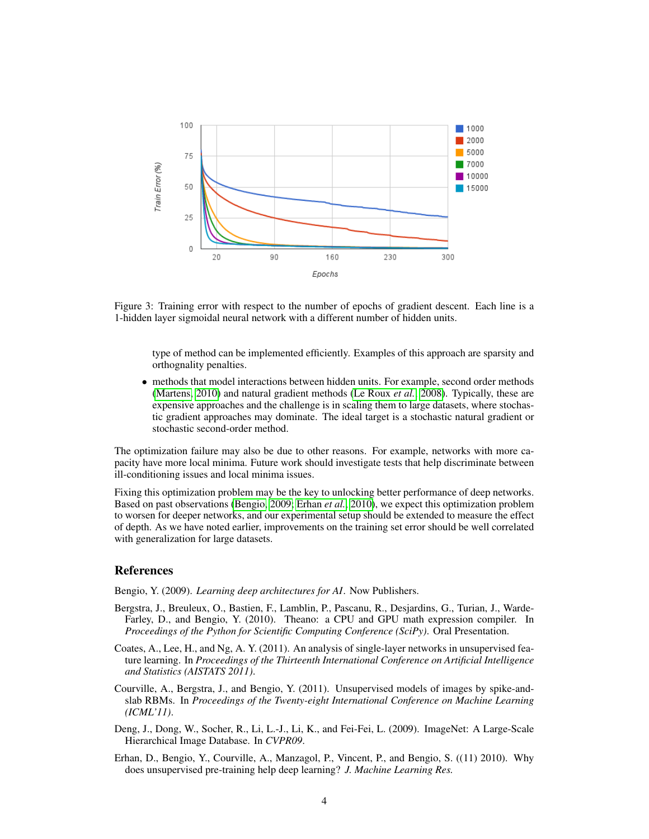

<span id="page-3-4"></span>Figure 3: Training error with respect to the number of epochs of gradient descent. Each line is a 1-hidden layer sigmoidal neural network with a different number of hidden units.

type of method can be implemented efficiently. Examples of this approach are sparsity and orthognality penalties.

• methods that model interactions between hidden units. For example, second order methods [\(Martens, 2010\)](#page-4-8) and natural gradient methods [\(Le Roux](#page-4-9) *et al.*, [2008\)](#page-4-9). Typically, these are expensive approaches and the challenge is in scaling them to large datasets, where stochastic gradient approaches may dominate. The ideal target is a stochastic natural gradient or stochastic second-order method.

The optimization failure may also be due to other reasons. For example, networks with more capacity have more local minima. Future work should investigate tests that help discriminate between ill-conditioning issues and local minima issues.

Fixing this optimization problem may be the key to unlocking better performance of deep networks. Based on past observations [\(Bengio, 2009;](#page-3-5) [Erhan](#page-3-6) *et al.*, [2010\)](#page-3-6), we expect this optimization problem to worsen for deeper networks, and our experimental setup should be extended to measure the effect of depth. As we have noted earlier, improvements on the training set error should be well correlated with generalization for large datasets.

#### References

<span id="page-3-5"></span>Bengio, Y. (2009). *Learning deep architectures for AI*. Now Publishers.

- <span id="page-3-3"></span>Bergstra, J., Breuleux, O., Bastien, F., Lamblin, P., Pascanu, R., Desjardins, G., Turian, J., Warde-Farley, D., and Bengio, Y. (2010). Theano: a CPU and GPU math expression compiler. In *Proceedings of the Python for Scientific Computing Conference (SciPy)*. Oral Presentation.
- <span id="page-3-0"></span>Coates, A., Lee, H., and Ng, A. Y. (2011). An analysis of single-layer networks in unsupervised feature learning. In *Proceedings of the Thirteenth International Conference on Artificial Intelligence and Statistics (AISTATS 2011)*.
- <span id="page-3-1"></span>Courville, A., Bergstra, J., and Bengio, Y. (2011). Unsupervised models of images by spike-andslab RBMs. In *Proceedings of the Twenty-eight International Conference on Machine Learning (ICML'11)*.
- <span id="page-3-2"></span>Deng, J., Dong, W., Socher, R., Li, L.-J., Li, K., and Fei-Fei, L. (2009). ImageNet: A Large-Scale Hierarchical Image Database. In *CVPR09*.
- <span id="page-3-6"></span>Erhan, D., Bengio, Y., Courville, A., Manzagol, P., Vincent, P., and Bengio, S. ((11) 2010). Why does unsupervised pre-training help deep learning? *J. Machine Learning Res.*